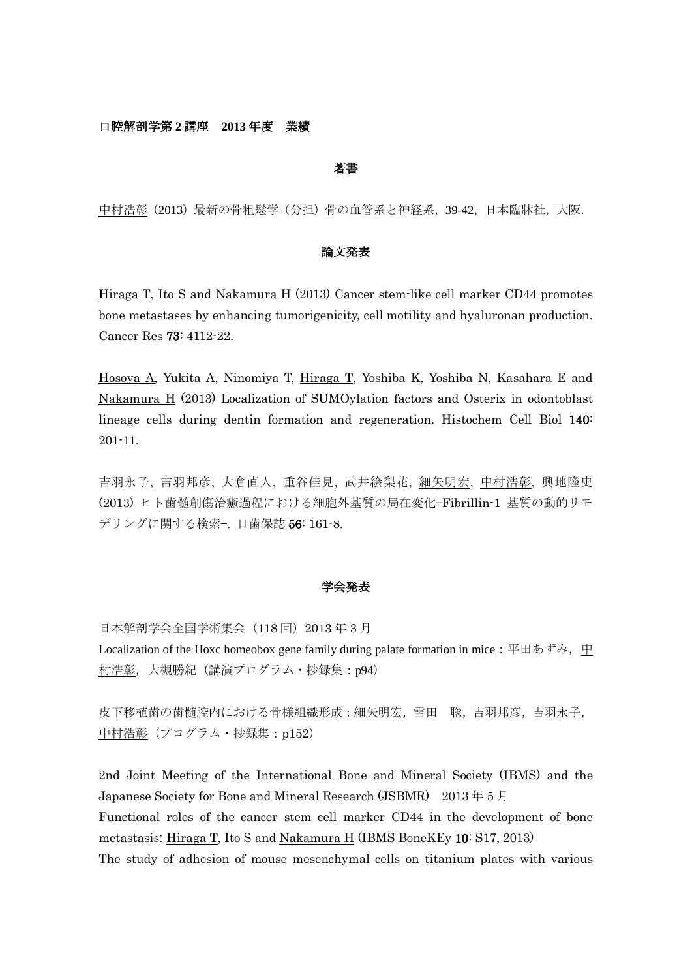## 口腔解剖学第 **2** 講座 **2013** 年度 業績

### 著書

中村浩彰(2013)最新の骨粗鬆学(分担)骨の血管系と神経系,39-42,日本臨牀社,大阪.

# 論文発表

Hiraga T, Ito S and Nakamura H (2013) Cancer stem-like cell marker CD44 promotes bone metastases by enhancing tumorigenicity, cell motility and hyaluronan production. Cancer Res 73: 4112-22.

Hosoya A, Yukita A, Ninomiya T, Hiraga T, Yoshiba K, Yoshiba N, Kasahara E and Nakamura H (2013) Localization of SUMOylation factors and Osterix in odontoblast lineage cells during dentin formation and regeneration. Histochem Cell Biol 140: 201-11.

吉羽永子, 吉羽邦彦, 大倉直人, 重谷佳見, 武井絵梨花, 細矢明宏, 中村浩彰, 興地隆史 (2013) ヒト歯髄創傷治癒過程における細胞外基質の局在変化—Fibrillin-1 基質の動的リモ デリングに関する検索—. 日歯保誌 56: 161-8.

#### 学会発表

日本解剖学会全国学術集会 (118 回) 2013 年 3 月 Localization of the Hoxc homeobox gene family during palate formation in mice: 平田あずみ, 中 村浩彰,大槻勝紀(講演プログラム・抄録集:p94)

皮下移植歯の歯髄腔内における骨様組織形成:細矢明宏,雪田 聡,吉羽邦彦,吉羽永子, 中村浩彰(プログラム・抄録集:p152)

2nd Joint Meeting of the International Bone and Mineral Society (IBMS) and the Japanese Society for Bone and Mineral Research (JSBMR) 2013 年 5 月 Functional roles of the cancer stem cell marker CD44 in the development of bone metastasis: Hiraga T, Ito S and Nakamura H (IBMS BoneKEy 10: S17, 2013) The study of adhesion of mouse mesenchymal cells on titanium plates with various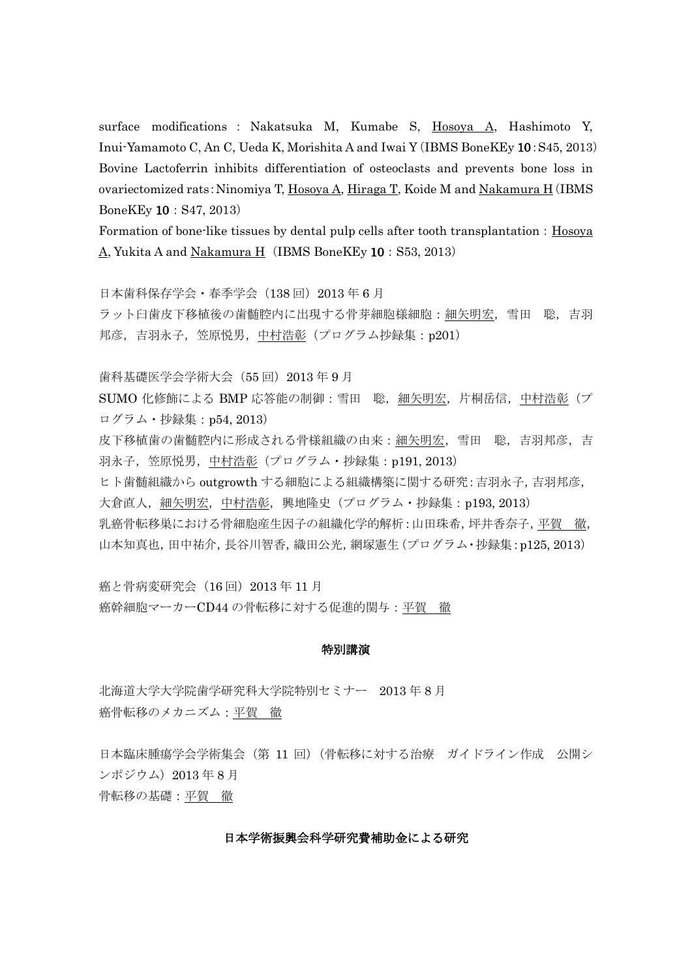surface modifications : Nakatsuka M, Kumabe S, Hosoya A, Hashimoto Y, Inui-Yamamoto C, An C, Ueda K, Morishita A and Iwai Y(IBMS BoneKEy 10:S45, 2013) Bovine Lactoferrin inhibits differentiation of osteoclasts and prevents bone loss in ovariectomized rats:Ninomiya T, Hosoya A, Hiraga T, Koide M and Nakamura H(IBMS BoneKEy 10:S47, 2013)

Formation of bone-like tissues by dental pulp cells after tooth transplantation: Hosoya A, Yukita A and Nakamura H(IBMS BoneKEy 10: S53, 2013)

日本歯科保存学会・春季学会 (138回) 2013年6月

ラット臼歯皮下移植後の歯髄腔内に出現する骨芽細胞様細胞:細矢明宏,雪田 聡,吉羽 邦彦,吉羽永子,笠原悦男,中村浩彰(プログラム抄録集: p201)

歯科基礎医学会学術大会(55 回)2013 年 9 月

SUMO 化修飾による BMP 応答能の制御:雪田 聡,細矢明宏,片桐岳信,中村浩彰(プ ログラム・抄録集:p54, 2013)

皮下移植歯の歯髄腔内に形成される骨様組織の由来:細矢明宏,雪田 聡,吉羽邦彦,吉 羽永子, 笠原悦男, 中村浩彰(プログラム・抄録集: p191, 2013)

ヒト歯髄組織から outgrowth する細胞による組織構築に関する研究:吉羽永子,吉羽邦彦, 大倉直人, 細矢明宏, 中村浩彰, 興地隆史 (プログラム・抄録集: p193, 2013) 乳癌骨転移巣における骨細胞産生因子の組織化学的解析:山田珠希,坪井香奈子,平賀 徹, 山本知真也,田中祐介,長谷川智香,織田公光,網塚憲生(プログラム・抄録集:p125, 2013)

癌と骨病変研究会 (16回) 2013年11月 癌幹細胞マーカーCD44 の骨転移に対する促進的関与:平賀 徹

### 特別講演

北海道大学大学院歯学研究科大学院特別セミナー 2013 年 8 月 癌骨転移のメカニズム:平賀 徹

日本臨床腫瘍学会学術集会(第 11 回)(骨転移に対する治療 ガイドライン作成 公開シ ンポジウム)2013 年 8 月 骨転移の基礎:平賀 徹

## 日本学術振興会科学研究費補助金による研究